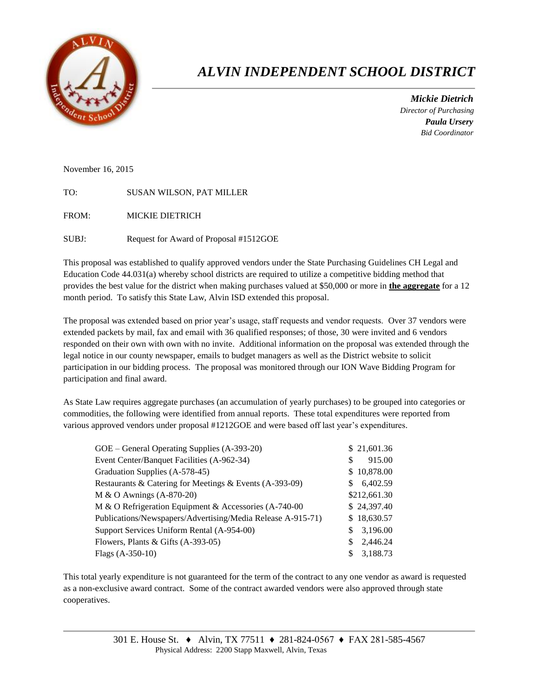

# *ALVIN INDEPENDENT SCHOOL DISTRICT*

 *Mickie Dietrich Director of Purchasing Paula Ursery Bid Coordinator*

November 16, 2015

TO: SUSAN WILSON, PAT MILLER

FROM: MICKIE DIETRICH

SUBJ: Request for Award of Proposal #1512GOE

This proposal was established to qualify approved vendors under the State Purchasing Guidelines CH Legal and Education Code 44.031(a) whereby school districts are required to utilize a competitive bidding method that provides the best value for the district when making purchases valued at \$50,000 or more in **the aggregate** for a 12 month period. To satisfy this State Law, Alvin ISD extended this proposal.

The proposal was extended based on prior year's usage, staff requests and vendor requests. Over 37 vendors were extended packets by mail, fax and email with 36 qualified responses; of those, 30 were invited and 6 vendors responded on their own with own with no invite. Additional information on the proposal was extended through the legal notice in our county newspaper, emails to budget managers as well as the District website to solicit participation in our bidding process. The proposal was monitored through our ION Wave Bidding Program for participation and final award.

As State Law requires aggregate purchases (an accumulation of yearly purchases) to be grouped into categories or commodities, the following were identified from annual reports. These total expenditures were reported from various approved vendors under proposal #1212GOE and were based off last year's expenditures.

| \$21,601.36    |
|----------------|
| 915.00<br>S    |
| \$10,878.00    |
| 6,402.59<br>S. |
| \$212,661.30   |
| \$24,397.40    |
| \$18,630.57    |
| 3,196.00       |
| 2.446.24<br>\$ |
| 3,188.73       |
|                |

This total yearly expenditure is not guaranteed for the term of the contract to any one vendor as award is requested as a non-exclusive award contract. Some of the contract awarded vendors were also approved through state cooperatives.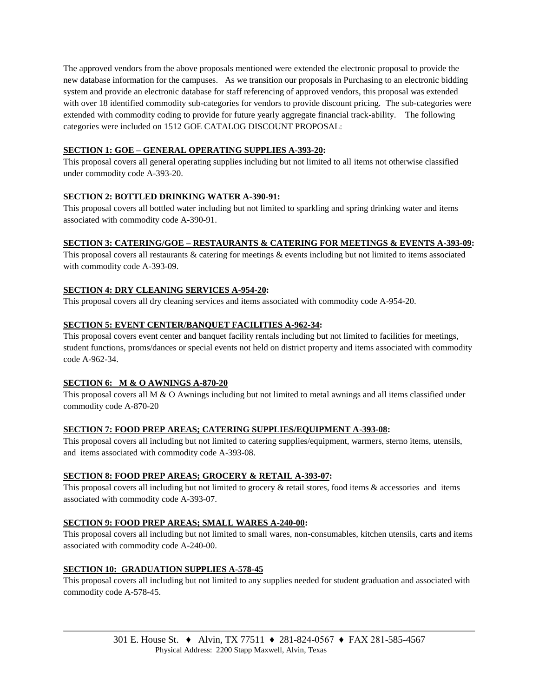The approved vendors from the above proposals mentioned were extended the electronic proposal to provide the new database information for the campuses. As we transition our proposals in Purchasing to an electronic bidding system and provide an electronic database for staff referencing of approved vendors, this proposal was extended with over 18 identified commodity sub-categories for vendors to provide discount pricing. The sub-categories were extended with commodity coding to provide for future yearly aggregate financial track-ability. The following categories were included on 1512 GOE CATALOG DISCOUNT PROPOSAL:

#### **SECTION 1: GOE – GENERAL OPERATING SUPPLIES A-393-20:**

This proposal covers all general operating supplies including but not limited to all items not otherwise classified under commodity code A-393-20.

## **SECTION 2: BOTTLED DRINKING WATER A-390-91:**

This proposal covers all bottled water including but not limited to sparkling and spring drinking water and items associated with commodity code A-390-91.

#### **SECTION 3: CATERING/GOE – RESTAURANTS & CATERING FOR MEETINGS & EVENTS A-393-09:**

This proposal covers all restaurants & catering for meetings & events including but not limited to items associated with commodity code A-393-09.

#### **SECTION 4: DRY CLEANING SERVICES A-954-20:**

This proposal covers all dry cleaning services and items associated with commodity code A-954-20.

#### **SECTION 5: EVENT CENTER/BANQUET FACILITIES A-962-34:**

This proposal covers event center and banquet facility rentals including but not limited to facilities for meetings, student functions, proms/dances or special events not held on district property and items associated with commodity code A-962-34.

#### **SECTION 6: M & O AWNINGS A-870-20**

This proposal covers all  $M \& O$  Awnings including but not limited to metal awnings and all items classified under commodity code A-870-20

#### **SECTION 7: FOOD PREP AREAS; CATERING SUPPLIES/EQUIPMENT A-393-08:**

This proposal covers all including but not limited to catering supplies/equipment, warmers, sterno items, utensils, and items associated with commodity code A-393-08.

#### **SECTION 8: FOOD PREP AREAS; GROCERY & RETAIL A-393-07:**

This proposal covers all including but not limited to grocery  $\&$  retail stores, food items  $\&$  accessories and items associated with commodity code A-393-07.

## **SECTION 9: FOOD PREP AREAS; SMALL WARES A-240-00:**

This proposal covers all including but not limited to small wares, non-consumables, kitchen utensils, carts and items associated with commodity code A-240-00.

#### **SECTION 10: GRADUATION SUPPLIES A-578-45**

This proposal covers all including but not limited to any supplies needed for student graduation and associated with commodity code A-578-45.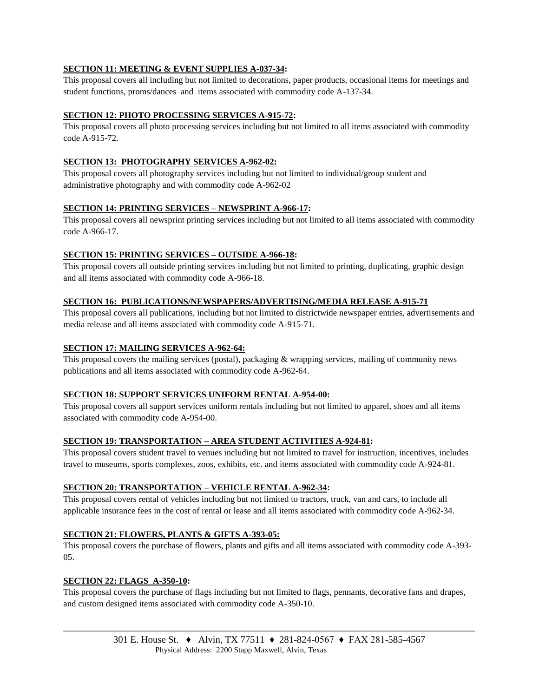## **SECTION 11: MEETING & EVENT SUPPLIES A-037-34:**

This proposal covers all including but not limited to decorations, paper products, occasional items for meetings and student functions, proms/dances and items associated with commodity code A-137-34.

#### **SECTION 12: PHOTO PROCESSING SERVICES A-915-72:**

This proposal covers all photo processing services including but not limited to all items associated with commodity code A-915-72.

#### **SECTION 13: PHOTOGRAPHY SERVICES A-962-02:**

This proposal covers all photography services including but not limited to individual/group student and administrative photography and with commodity code A-962-02

#### **SECTION 14: PRINTING SERVICES – NEWSPRINT A-966-17:**

This proposal covers all newsprint printing services including but not limited to all items associated with commodity code A-966-17.

#### **SECTION 15: PRINTING SERVICES – OUTSIDE A-966-18:**

This proposal covers all outside printing services including but not limited to printing, duplicating, graphic design and all items associated with commodity code A-966-18.

#### **SECTION 16: PUBLICATIONS/NEWSPAPERS/ADVERTISING/MEDIA RELEASE A-915-71**

This proposal covers all publications, including but not limited to districtwide newspaper entries, advertisements and media release and all items associated with commodity code A-915-71.

#### **SECTION 17: MAILING SERVICES A-962-64:**

This proposal covers the mailing services (postal), packaging & wrapping services, mailing of community news publications and all items associated with commodity code A-962-64.

## **SECTION 18: SUPPORT SERVICES UNIFORM RENTAL A-954-00:**

This proposal covers all support services uniform rentals including but not limited to apparel, shoes and all items associated with commodity code A-954-00.

#### **SECTION 19: TRANSPORTATION – AREA STUDENT ACTIVITIES A-924-81:**

This proposal covers student travel to venues including but not limited to travel for instruction, incentives, includes travel to museums, sports complexes, zoos, exhibits, etc. and items associated with commodity code A-924-81.

#### **SECTION 20: TRANSPORTATION – VEHICLE RENTAL A-962-34:**

This proposal covers rental of vehicles including but not limited to tractors, truck, van and cars, to include all applicable insurance fees in the cost of rental or lease and all items associated with commodity code A-962-34.

#### **SECTION 21: FLOWERS, PLANTS & GIFTS A-393-05:**

This proposal covers the purchase of flowers, plants and gifts and all items associated with commodity code A-393- 05.

#### **SECTION 22: FLAGS A-350-10:**

This proposal covers the purchase of flags including but not limited to flags, pennants, decorative fans and drapes, and custom designed items associated with commodity code A-350-10.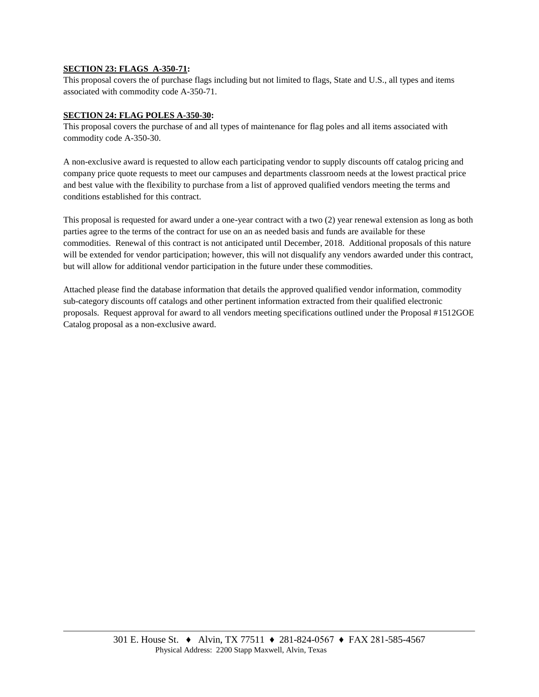#### **SECTION 23: FLAGS A-350-71:**

This proposal covers the of purchase flags including but not limited to flags, State and U.S., all types and items associated with commodity code A-350-71.

#### **SECTION 24: FLAG POLES A-350-30:**

This proposal covers the purchase of and all types of maintenance for flag poles and all items associated with commodity code A-350-30.

A non-exclusive award is requested to allow each participating vendor to supply discounts off catalog pricing and company price quote requests to meet our campuses and departments classroom needs at the lowest practical price and best value with the flexibility to purchase from a list of approved qualified vendors meeting the terms and conditions established for this contract.

This proposal is requested for award under a one-year contract with a two (2) year renewal extension as long as both parties agree to the terms of the contract for use on an as needed basis and funds are available for these commodities. Renewal of this contract is not anticipated until December, 2018. Additional proposals of this nature will be extended for vendor participation; however, this will not disqualify any vendors awarded under this contract, but will allow for additional vendor participation in the future under these commodities.

Attached please find the database information that details the approved qualified vendor information, commodity sub-category discounts off catalogs and other pertinent information extracted from their qualified electronic proposals. Request approval for award to all vendors meeting specifications outlined under the Proposal #1512GOE Catalog proposal as a non-exclusive award.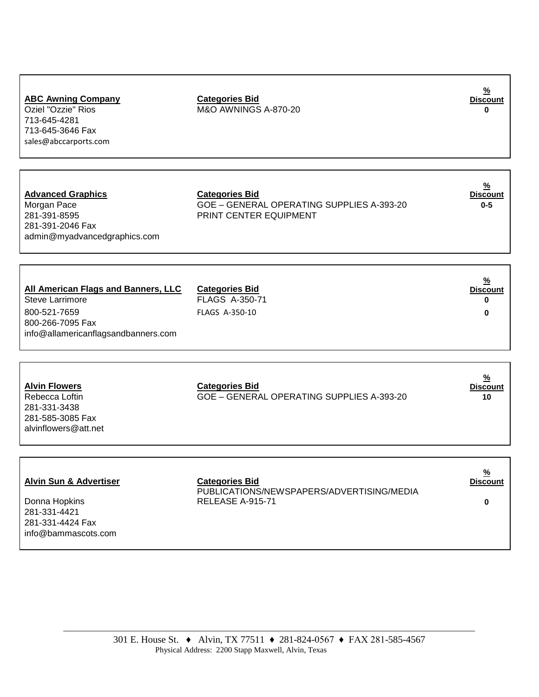301 E. House St. ♦ Alvin, TX 77511 ♦ 281-824-0567 ♦ FAX 281-585-4567

# **ABC Awning Company Categories Bid**  Oziel "Ozzie" Rios M&O AWNINGS A-870-20 **0**

713-645-4281 713-645-3646 Fax [sales@abccarports.com](mailto:sales@abccarports.com)

**Advanced Graphics Categories Bid** 281-391-8595 PRINT CENTER EQUIPMENT 281-391-2046 Fax admin@myadvancedgraphics.com

Morgan Pace **GOE – GENERAL OPERATING SUPPLIES A-393-20 0-5** 

**% Discount**

**% Discount**

#### **All American Flags and Banners, LLC Categories Bid % Discount** Steve Larrimore FLAGS A-350-71 **0** 800-521-7659 FLAGS A-350-10 **0** 800-266-7095 Fax [info@allamericanflagsandbanners.com](mailto:uzirasheed@gmail.com)

| <b>Alvin Flowers</b> | <b>Categories Bid</b>                     | $\frac{9}{6}$<br><b>Discount</b> |
|----------------------|-------------------------------------------|----------------------------------|
| Rebecca Loftin       | GOE – GENERAL OPERATING SUPPLIES A-393-20 | 10                               |
| 281-331-3438         |                                           |                                  |
| 281-585-3085 Fax     |                                           |                                  |
| alvinflowers@att.net |                                           |                                  |
|                      |                                           |                                  |

| <b>Alvin Sun &amp; Advertiser</b>                                        | <b>Categories Bid</b><br>PUBLICATIONS/NEWSPAPERS/ADVERTISING/MEDIA | $\frac{9}{6}$<br><b>Discount</b> |
|--------------------------------------------------------------------------|--------------------------------------------------------------------|----------------------------------|
| Donna Hopkins<br>281-331-4421<br>281-331-4424 Fax<br>info@bammascots.com | RELEASE A-915-71                                                   |                                  |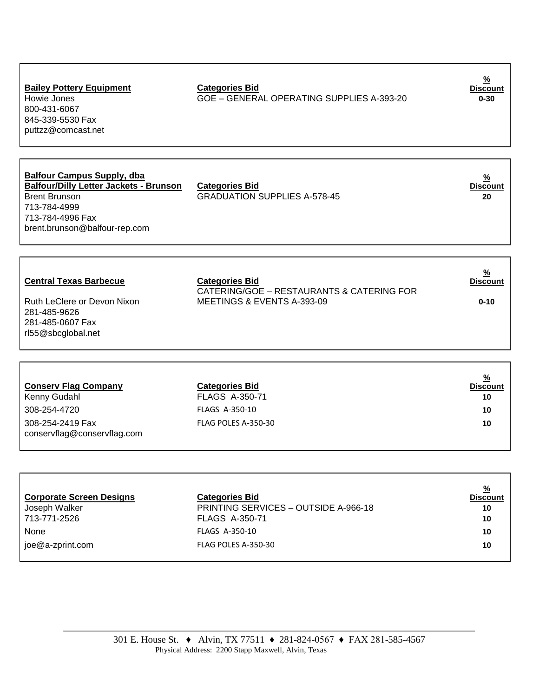| <b>Bailey Pottery Equipment</b><br>Howie Jones<br>800-431-6067<br>845-339-5530 Fax<br>puttzz@comcast.net                                                                        | <b>Categories Bid</b><br>GOE - GENERAL OPERATING SUPPLIES A-393-20                               | $\frac{9}{6}$<br><b>Discount</b><br>$0 - 30$       |
|---------------------------------------------------------------------------------------------------------------------------------------------------------------------------------|--------------------------------------------------------------------------------------------------|----------------------------------------------------|
| <b>Balfour Campus Supply, dba</b><br><b>Balfour/Dilly Letter Jackets - Brunson</b><br><b>Brent Brunson</b><br>713-784-4999<br>713-784-4996 Fax<br>brent.brunson@balfour-rep.com | <b>Categories Bid</b><br><b>GRADUATION SUPPLIES A-578-45</b>                                     | $\frac{9}{6}$<br><b>Discount</b><br>20             |
| <b>Central Texas Barbecue</b><br>Ruth LeClere or Devon Nixon<br>281-485-9626<br>281-485-0607 Fax<br>rl55@sbcglobal.net                                                          | <b>Categories Bid</b><br>CATERING/GOE - RESTAURANTS & CATERING FOR<br>MEETINGS & EVENTS A-393-09 | <u>%</u><br><b>Discount</b><br>$0 - 10$            |
| <b>Conserv Flag Company</b><br>Kenny Gudahl<br>308-254-4720<br>308-254-2419 Fax<br>conservflag@conservflag.com                                                                  | <b>Categories Bid</b><br><b>FLAGS A-350-71</b><br>FLAGS A-350-10<br>FLAG POLES A-350-30          | $\frac{9}{6}$<br><b>Discount</b><br>10<br>10<br>10 |

| <b>Corporate Screen Designs</b> | <b>Categories Bid</b>                       | %<br><b>Discount</b> |
|---------------------------------|---------------------------------------------|----------------------|
| Joseph Walker                   | <b>PRINTING SERVICES - OUTSIDE A-966-18</b> | 10                   |
| 713-771-2526                    | <b>FLAGS A-350-71</b>                       | 10                   |
| <b>None</b>                     | <b>FLAGS A-350-10</b>                       | 10                   |
| joe@a-zprint.com                | FLAG POLES A-350-30                         | 10                   |
|                                 |                                             |                      |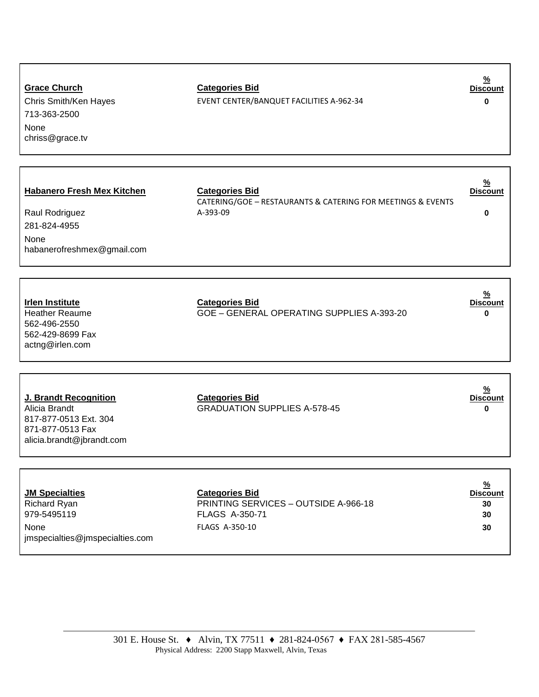| <b>Grace Church</b><br>Chris Smith/Ken Hayes<br>713-363-2500<br>None<br>chriss@grace.tv                          | <b>Categories Bid</b><br>EVENT CENTER/BANQUET FACILITIES A-962-34                                        | <u>/0</u><br><b>Discount</b><br>0                  |
|------------------------------------------------------------------------------------------------------------------|----------------------------------------------------------------------------------------------------------|----------------------------------------------------|
|                                                                                                                  |                                                                                                          |                                                    |
| <b>Habanero Fresh Mex Kitchen</b><br>Raul Rodriguez<br>281-824-4955<br>None<br>habanerofreshmex@gmail.com        | <b>Categories Bid</b><br>CATERING/GOE - RESTAURANTS & CATERING FOR MEETINGS & EVENTS<br>A-393-09         | <u>%</u><br><b>Discount</b><br>0                   |
|                                                                                                                  |                                                                                                          |                                                    |
| <b>Irlen Institute</b><br><b>Heather Reaume</b><br>562-496-2550<br>562-429-8699 Fax<br>actng@irlen.com           | <b>Categories Bid</b><br>GOE - GENERAL OPERATING SUPPLIES A-393-20                                       | $\frac{9}{6}$<br><b>Discount</b><br>0              |
|                                                                                                                  |                                                                                                          |                                                    |
| J. Brandt Recognition<br>Alicia Brandt<br>817-877-0513 Ext. 304<br>871-877-0513 Fax<br>alicia.brandt@jbrandt.com | <b>Categories Bid</b><br><b>GRADUATION SUPPLIES A-578-45</b>                                             | $\frac{9}{6}$<br><b>Discount</b><br>0              |
|                                                                                                                  |                                                                                                          |                                                    |
| <b>JM Specialties</b><br><b>Richard Ryan</b><br>979-5495119<br>None<br>jmspecialties@jmspecialties.com           | <b>Categories Bid</b><br>PRINTING SERVICES - OUTSIDE A-966-18<br><b>FLAGS A-350-71</b><br>FLAGS A-350-10 | $\frac{9}{6}$<br><b>Discount</b><br>30<br>30<br>30 |

**%**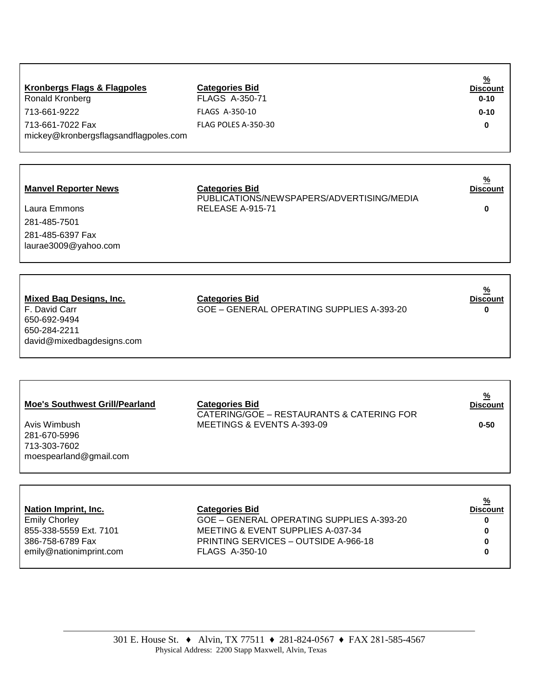| <b>Kronbergs Flags &amp; Flagpoles</b><br>Ronald Kronberg | <b>Categories Bid</b><br><b>FLAGS A-350-71</b> | <u>%</u><br><b>Discount</b><br>$0 - 10$ |
|-----------------------------------------------------------|------------------------------------------------|-----------------------------------------|
| 713-661-9222                                              | <b>FLAGS A-350-10</b>                          | $0 - 10$                                |
| 713-661-7022 Fax<br>mickey@kronbergsflagsandflagpoles.com | FLAG POLES A-350-30                            | 0                                       |

#### **Manvel Reporter News Categories Bid**

| Laura Emmons         |
|----------------------|
| 281-485-7501         |
| 281-485-6397 Fax     |
| laurae3009@yahoo.com |

#### **Discount** PUBLICATIONS/NEWSPAPERS/ADVERTISING/MEDIA RELEASE A-915-71 **0**

**%** 

**% Discount**

| <b>Mixed Bag Designs, Inc.</b> | <b>Categories Bid</b>                     | <u>%</u><br><b>Discount</b> |
|--------------------------------|-------------------------------------------|-----------------------------|
| F. David Carr                  | GOE – GENERAL OPERATING SUPPLIES A-393-20 | 0                           |
| 650-692-9494                   |                                           |                             |
| 650-284-2211                   |                                           |                             |
| david@mixedbagdesigns.com      |                                           |                             |

Avis Wimbush 281-670-5996 713-303-7602 [moespearland@gmail.com](mailto:moespearland@gmail.com)

## **Categories Bid**

CATERING/GOE – RESTAURANTS & CATERING FOR MEETINGS & EVENTS A-393-09 **0-50**

| <b>Categories Bid</b>                     | <u>%</u><br><b>Discount</b> |
|-------------------------------------------|-----------------------------|
| GOE - GENERAL OPERATING SUPPLIES A-393-20 | 0                           |
| MEETING & EVENT SUPPLIES A-037-34         | 0                           |
| PRINTING SERVICES - OUTSIDE A-966-18      | 0                           |
| <b>FLAGS A-350-10</b>                     | 0                           |
|                                           |                             |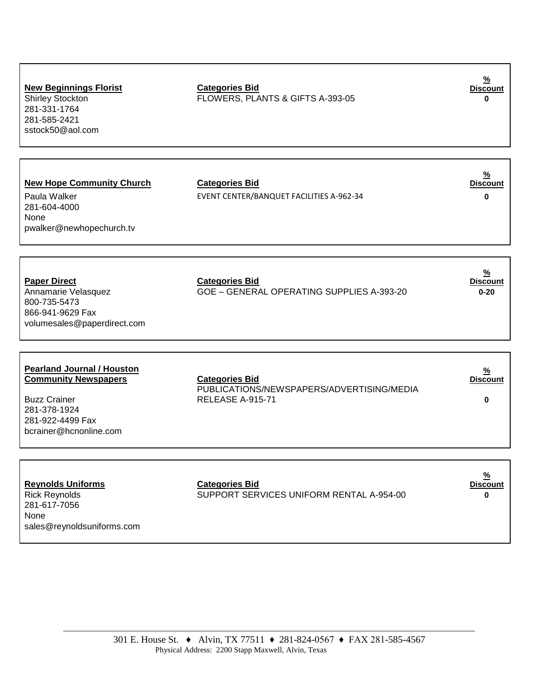| <b>New Beginnings Florist</b><br><b>Shirley Stockton</b><br>281-331-1764<br>281-585-2421<br>sstock50@aol.com                                          | <b>Categories Bid</b><br>FLOWERS, PLANTS & GIFTS A-393-05                              | <u></u><br><b>Discount</b>                   |
|-------------------------------------------------------------------------------------------------------------------------------------------------------|----------------------------------------------------------------------------------------|----------------------------------------------|
| <b>New Hope Community Church</b><br>Paula Walker<br>281-604-4000<br>None<br>pwalker@newhopechurch.tv                                                  | <b>Categories Bid</b><br>EVENT CENTER/BANQUET FACILITIES A-962-34                      | $\frac{9}{6}$<br><b>Discount</b><br>$\bf{0}$ |
| <b>Paper Direct</b><br>Annamarie Velasquez<br>800-735-5473<br>866-941-9629 Fax<br>volumesales@paperdirect.com                                         | <b>Categories Bid</b><br>GOE - GENERAL OPERATING SUPPLIES A-393-20                     | <u>%</u><br><b>Discount</b><br>$0 - 20$      |
| <b>Pearland Journal / Houston</b><br><b>Community Newspapers</b><br><b>Buzz Crainer</b><br>281-378-1924<br>281-922-4499 Fax<br>bcrainer@hcnonline.com | <b>Categories Bid</b><br>PUBLICATIONS/NEWSPAPERS/ADVERTISING/MEDIA<br>RELEASE A-915-71 | <u>%</u><br><b>Discount</b><br>$\bf{0}$      |
| <b>Reynolds Uniforms</b><br>Rick Revnolds                                                                                                             | <b>Categories Bid</b><br>SUPPORT SERVICES UNIFORM RENTAL 4-954-00                      | <u>%</u><br><b>Discount</b><br>n             |

281-617-7056 None [sales@reynoldsuniforms.com](mailto:sales@reynoldsuniforms.com)

Rick Reynolds SUPPORT SERVICES UNIFORM RENTAL A-954-00 **0**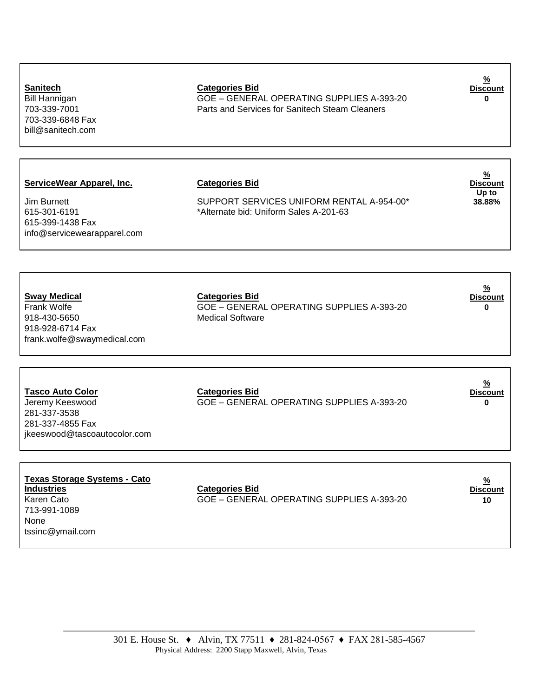301 E. House St. ♦ Alvin, TX 77511 ♦ 281-824-0567 ♦ FAX 281-585-4567 Physical Address: 2200 Stapp Maxwell, Alvin, Texas

703-339-6848 Fax [bill@sanitech.com](mailto:bill@sanitech.com)

615-399-1438 Fax

#### **Sanitech Categories Bid**

Bill Hannigan GOE – GENERAL OPERATING SUPPLIES A-393-20 **0** 703-339-7001 Parts and Services for Sanitech Steam Cleaners

**% Discount**

**ServiceWear Apparel, Inc. Categories Bid** 

Jim Burnett **SUPPORT SERVICES UNIFORM RENTAL A-954-00\*** 615-301-6191 \*Alternate bid: Uniform Sales A-201-63

**% Discount Up to 38.88%**

**% Discount**

**Sway Medical Categories Bid** 918-430-5650 Medical Software 918-928-6714 Fax [frank.wolfe@swaymedical.com](mailto:frank.wolfe@swaymedical.com)

[info@servicewearapparel.com](mailto:info@servicewearapparel.com)

# Frank Wolfe GOE – GENERAL OPERATING SUPPLIES A-393-20 **0**

**Tasco Auto Color Categories Bid** Jeremy Keeswood GOE – GENERAL OPERATING SUPPLIES A-393-20 **0**

281-337-3538 281-337-4855 Fax [jkeeswood@tascoautocolor.com](mailto:jkeeswood@tascoautocolor.com)

**Texas Storage Systems - Cato**  713-991-1089 None [tssinc@ymail.com](mailto:tssinc@ymail.com)

**Categories Bid** Karen Cato GOE – GENERAL OPERATING SUPPLIES A-393-20 **10**

**% Discount**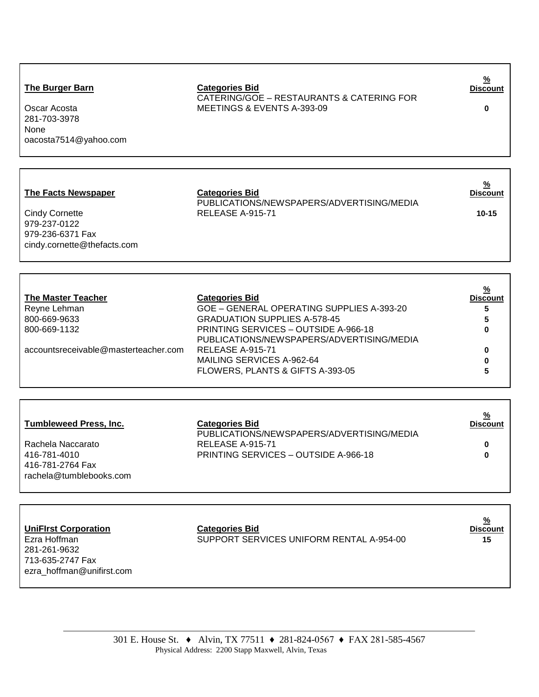## **The Burger Barn**

Oscar Acosta 281-703-3978 None [oacosta7514@yahoo.com](mailto:oacosta7514@yahoo.com)

Categories Bid<br>CATERING/GOE – RESTAURANTS & CATERING FOR MEETINGS & EVENTS A-393-09 **0**

**% Discount**

## **The Facts Newspaper Categories Bid**

Cindy Cornette 979-237-0122 979-236-6371 Fax [cindy.cornette@thefacts.com](mailto:cindy.cornette@thefacts.com)

## PUBLICATIONS/NEWSPAPERS/ADVERTISING/MEDIA RELEASE A-915-71 **10-15**

| <b>The Master Teacher</b>            | <b>Categories Bid</b>                                                                    | <u>%</u><br><b>Discount</b> |
|--------------------------------------|------------------------------------------------------------------------------------------|-----------------------------|
| Reyne Lehman                         | GOE - GENERAL OPERATING SUPPLIES A-393-20                                                | 5                           |
| 800-669-9633                         | <b>GRADUATION SUPPLIES A-578-45</b>                                                      | 5                           |
| 800-669-1132                         | <b>PRINTING SERVICES - OUTSIDE A-966-18</b><br>PUBLICATIONS/NEWSPAPERS/ADVERTISING/MEDIA | 0                           |
| accountsreceivable@masterteacher.com | RELEASE A-915-71                                                                         | 0                           |
|                                      | MAILING SERVICES A-962-64                                                                |                             |
|                                      | FLOWERS, PLANTS & GIFTS A-393-05                                                         |                             |

| <b>Tumbleweed Press, Inc.</b>                               | <b>Categories Bid</b><br>PUBLICATIONS/NEWSPAPERS/ADVERTISING/MEDIA | <u>%</u><br><b>Discount</b> |
|-------------------------------------------------------------|--------------------------------------------------------------------|-----------------------------|
| Rachela Naccarato                                           | RELEASE A-915-71                                                   | 0                           |
| 416-781-4010<br>416-781-2764 Fax<br>rachela@tumblebooks.com | PRINTING SERVICES - OUTSIDE A-966-18                               | 0                           |

| <b>UniFirst Corporation</b> | <b>Categories Bid</b>                    | <u>%</u><br><b>Discount</b> |
|-----------------------------|------------------------------------------|-----------------------------|
| Ezra Hoffman                | SUPPORT SERVICES UNIFORM RENTAL A-954-00 | 15                          |
| 281-261-9632                |                                          |                             |
| 713-635-2747 Fax            |                                          |                             |
| ezra_hoffman@unifirst.com   |                                          |                             |